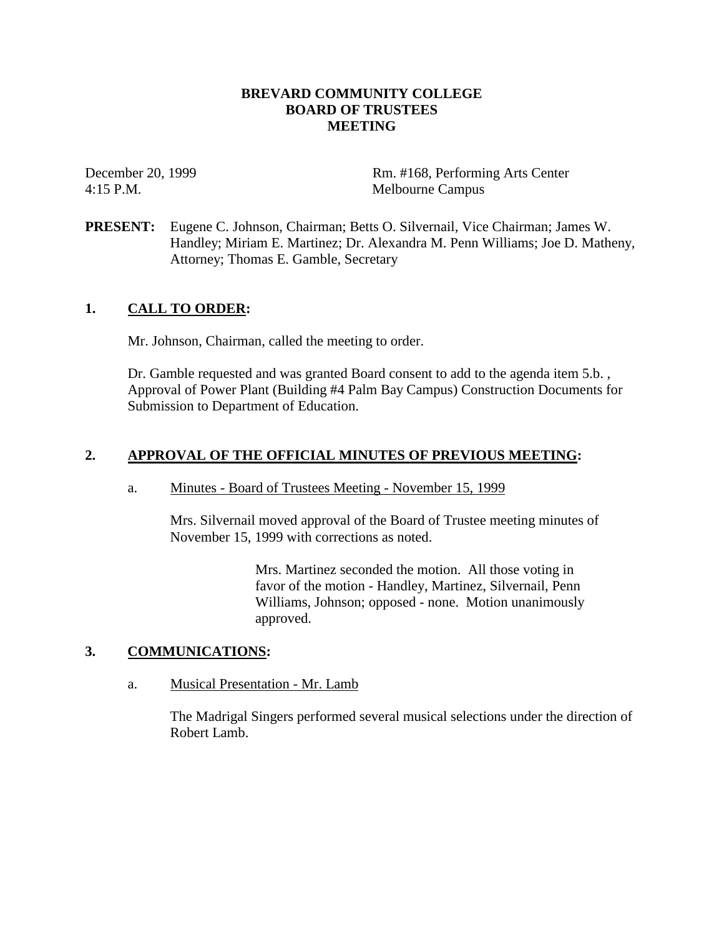### **BREVARD COMMUNITY COLLEGE BOARD OF TRUSTEES MEETING**

December 20, 1999 Rm. #168, Performing Arts Center 4:15 P.M. Melbourne Campus

**PRESENT:** Eugene C. Johnson, Chairman; Betts O. Silvernail, Vice Chairman; James W. Handley; Miriam E. Martinez; Dr. Alexandra M. Penn Williams; Joe D. Matheny, Attorney; Thomas E. Gamble, Secretary

### **1. CALL TO ORDER:**

Mr. Johnson, Chairman, called the meeting to order.

Dr. Gamble requested and was granted Board consent to add to the agenda item 5.b. , Approval of Power Plant (Building #4 Palm Bay Campus) Construction Documents for Submission to Department of Education.

### **2. APPROVAL OF THE OFFICIAL MINUTES OF PREVIOUS MEETING:**

### a. Minutes - Board of Trustees Meeting - November 15, 1999

Mrs. Silvernail moved approval of the Board of Trustee meeting minutes of November 15, 1999 with corrections as noted.

> Mrs. Martinez seconded the motion. All those voting in favor of the motion - Handley, Martinez, Silvernail, Penn Williams, Johnson; opposed - none. Motion unanimously approved.

### **3. COMMUNICATIONS:**

a. Musical Presentation - Mr. Lamb

The Madrigal Singers performed several musical selections under the direction of Robert Lamb.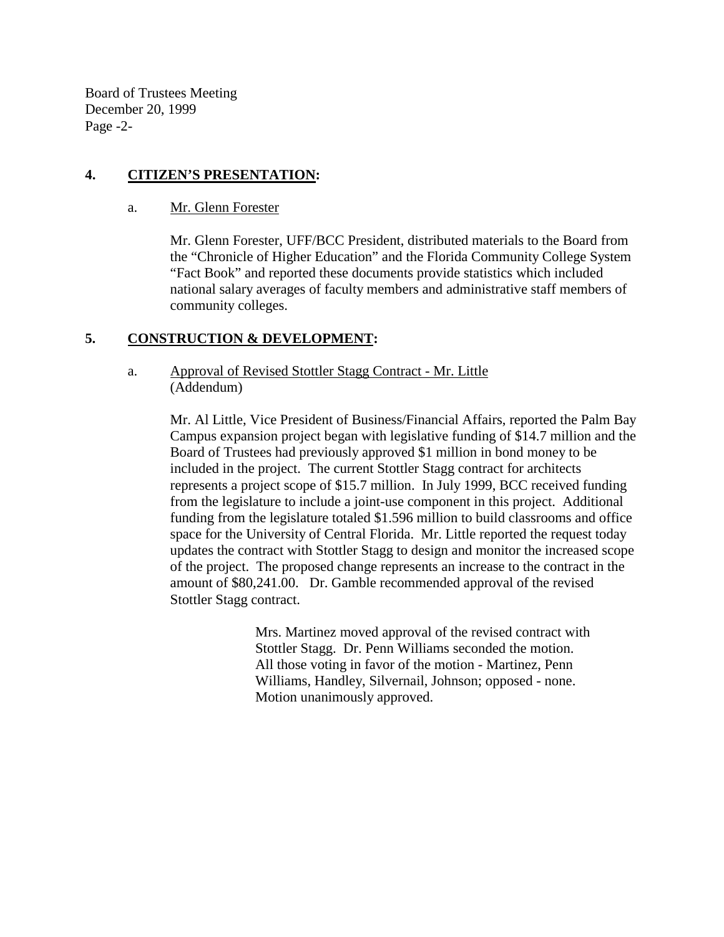Board of Trustees Meeting December 20, 1999 Page -2-

## **4. CITIZEN'S PRESENTATION:**

a. Mr. Glenn Forester

Mr. Glenn Forester, UFF/BCC President, distributed materials to the Board from the "Chronicle of Higher Education" and the Florida Community College System "Fact Book" and reported these documents provide statistics which included national salary averages of faculty members and administrative staff members of community colleges.

## **5. CONSTRUCTION & DEVELOPMENT:**

### a. Approval of Revised Stottler Stagg Contract - Mr. Little (Addendum)

Mr. Al Little, Vice President of Business/Financial Affairs, reported the Palm Bay Campus expansion project began with legislative funding of \$14.7 million and the Board of Trustees had previously approved \$1 million in bond money to be included in the project. The current Stottler Stagg contract for architects represents a project scope of \$15.7 million. In July 1999, BCC received funding from the legislature to include a joint-use component in this project. Additional funding from the legislature totaled \$1.596 million to build classrooms and office space for the University of Central Florida. Mr. Little reported the request today updates the contract with Stottler Stagg to design and monitor the increased scope of the project. The proposed change represents an increase to the contract in the amount of \$80,241.00. Dr. Gamble recommended approval of the revised Stottler Stagg contract.

> Mrs. Martinez moved approval of the revised contract with Stottler Stagg. Dr. Penn Williams seconded the motion. All those voting in favor of the motion - Martinez, Penn Williams, Handley, Silvernail, Johnson; opposed - none. Motion unanimously approved.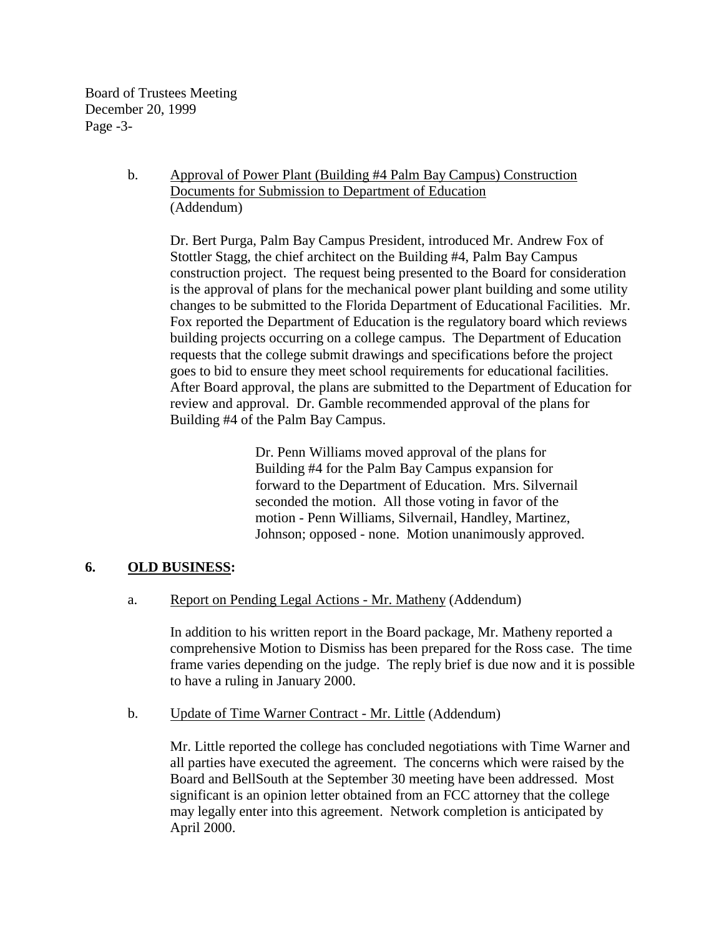Board of Trustees Meeting December 20, 1999 Page -3-

## b. Approval of Power Plant (Building #4 Palm Bay Campus) Construction Documents for Submission to Department of Education (Addendum)

Dr. Bert Purga, Palm Bay Campus President, introduced Mr. Andrew Fox of Stottler Stagg, the chief architect on the Building #4, Palm Bay Campus construction project. The request being presented to the Board for consideration is the approval of plans for the mechanical power plant building and some utility changes to be submitted to the Florida Department of Educational Facilities. Mr. Fox reported the Department of Education is the regulatory board which reviews building projects occurring on a college campus. The Department of Education requests that the college submit drawings and specifications before the project goes to bid to ensure they meet school requirements for educational facilities. After Board approval, the plans are submitted to the Department of Education for review and approval. Dr. Gamble recommended approval of the plans for Building #4 of the Palm Bay Campus.

> Dr. Penn Williams moved approval of the plans for Building #4 for the Palm Bay Campus expansion for forward to the Department of Education. Mrs. Silvernail seconded the motion. All those voting in favor of the motion - Penn Williams, Silvernail, Handley, Martinez, Johnson; opposed - none. Motion unanimously approved.

## **6. OLD BUSINESS:**

## a. Report on Pending Legal Actions - Mr. Matheny (Addendum)

In addition to his written report in the Board package, Mr. Matheny reported a comprehensive Motion to Dismiss has been prepared for the Ross case. The time frame varies depending on the judge. The reply brief is due now and it is possible to have a ruling in January 2000.

### b. Update of Time Warner Contract - Mr. Little (Addendum)

Mr. Little reported the college has concluded negotiations with Time Warner and all parties have executed the agreement. The concerns which were raised by the Board and BellSouth at the September 30 meeting have been addressed. Most significant is an opinion letter obtained from an FCC attorney that the college may legally enter into this agreement. Network completion is anticipated by April 2000.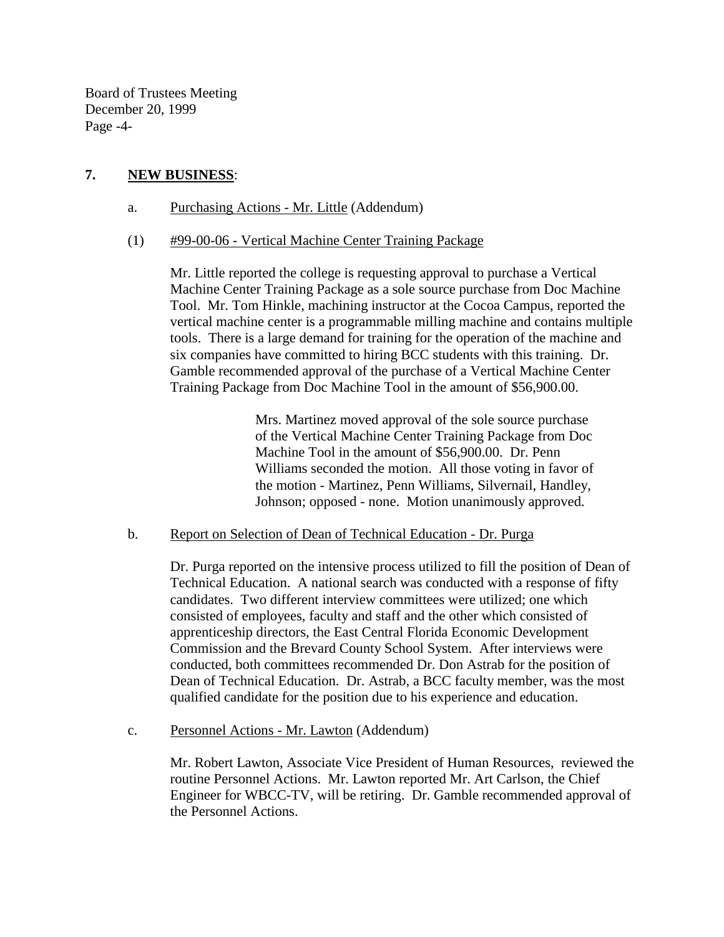Board of Trustees Meeting December 20, 1999 Page -4-

## **7. NEW BUSINESS**:

- a. Purchasing Actions Mr. Little (Addendum)
- (1) #99-00-06 Vertical Machine Center Training Package

 Mr. Little reported the college is requesting approval to purchase a Vertical Machine Center Training Package as a sole source purchase from Doc Machine Tool. Mr. Tom Hinkle, machining instructor at the Cocoa Campus, reported the vertical machine center is a programmable milling machine and contains multiple tools. There is a large demand for training for the operation of the machine and six companies have committed to hiring BCC students with this training. Dr. Gamble recommended approval of the purchase of a Vertical Machine Center Training Package from Doc Machine Tool in the amount of \$56,900.00.

> Mrs. Martinez moved approval of the sole source purchase of the Vertical Machine Center Training Package from Doc Machine Tool in the amount of \$56,900.00. Dr. Penn Williams seconded the motion. All those voting in favor of the motion - Martinez, Penn Williams, Silvernail, Handley, Johnson; opposed - none. Motion unanimously approved.

## b. Report on Selection of Dean of Technical Education - Dr. Purga

Dr. Purga reported on the intensive process utilized to fill the position of Dean of Technical Education. A national search was conducted with a response of fifty candidates. Two different interview committees were utilized; one which consisted of employees, faculty and staff and the other which consisted of apprenticeship directors, the East Central Florida Economic Development Commission and the Brevard County School System. After interviews were conducted, both committees recommended Dr. Don Astrab for the position of Dean of Technical Education. Dr. Astrab, a BCC faculty member, was the most qualified candidate for the position due to his experience and education.

c. Personnel Actions - Mr. Lawton (Addendum)

Mr. Robert Lawton, Associate Vice President of Human Resources, reviewed the routine Personnel Actions. Mr. Lawton reported Mr. Art Carlson, the Chief Engineer for WBCC-TV, will be retiring. Dr. Gamble recommended approval of the Personnel Actions.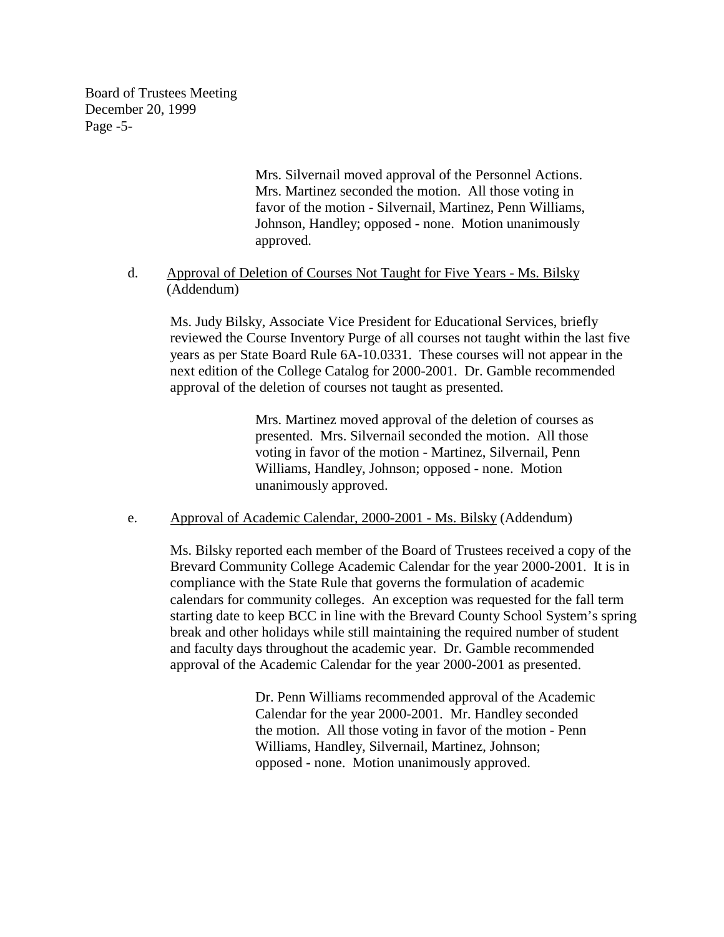Board of Trustees Meeting December 20, 1999 Page -5-

> Mrs. Silvernail moved approval of the Personnel Actions. Mrs. Martinez seconded the motion. All those voting in favor of the motion - Silvernail, Martinez, Penn Williams, Johnson, Handley; opposed - none. Motion unanimously approved.

d. Approval of Deletion of Courses Not Taught for Five Years - Ms. Bilsky (Addendum)

 Ms. Judy Bilsky, Associate Vice President for Educational Services, briefly reviewed the Course Inventory Purge of all courses not taught within the last five years as per State Board Rule 6A-10.0331. These courses will not appear in the next edition of the College Catalog for 2000-2001. Dr. Gamble recommended approval of the deletion of courses not taught as presented.

> Mrs. Martinez moved approval of the deletion of courses as presented. Mrs. Silvernail seconded the motion. All those voting in favor of the motion - Martinez, Silvernail, Penn Williams, Handley, Johnson; opposed - none. Motion unanimously approved.

e. Approval of Academic Calendar, 2000-2001 - Ms. Bilsky (Addendum)

 Ms. Bilsky reported each member of the Board of Trustees received a copy of the Brevard Community College Academic Calendar for the year 2000-2001. It is in compliance with the State Rule that governs the formulation of academic calendars for community colleges. An exception was requested for the fall term starting date to keep BCC in line with the Brevard County School System's spring break and other holidays while still maintaining the required number of student and faculty days throughout the academic year. Dr. Gamble recommended approval of the Academic Calendar for the year 2000-2001 as presented.

> Dr. Penn Williams recommended approval of the Academic Calendar for the year 2000-2001. Mr. Handley seconded the motion. All those voting in favor of the motion - Penn Williams, Handley, Silvernail, Martinez, Johnson; opposed - none. Motion unanimously approved.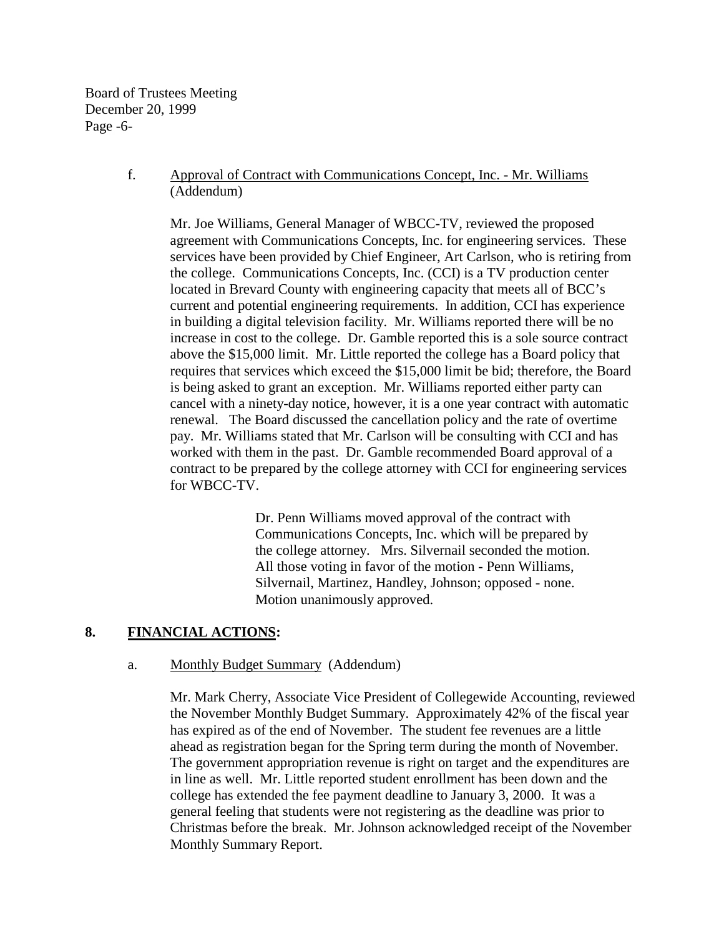Board of Trustees Meeting December 20, 1999 Page -6-

### f. Approval of Contract with Communications Concept, Inc. - Mr. Williams (Addendum)

Mr. Joe Williams, General Manager of WBCC-TV, reviewed the proposed agreement with Communications Concepts, Inc. for engineering services. These services have been provided by Chief Engineer, Art Carlson, who is retiring from the college. Communications Concepts, Inc. (CCI) is a TV production center located in Brevard County with engineering capacity that meets all of BCC's current and potential engineering requirements. In addition, CCI has experience in building a digital television facility. Mr. Williams reported there will be no increase in cost to the college. Dr. Gamble reported this is a sole source contract above the \$15,000 limit. Mr. Little reported the college has a Board policy that requires that services which exceed the \$15,000 limit be bid; therefore, the Board is being asked to grant an exception. Mr. Williams reported either party can cancel with a ninety-day notice, however, it is a one year contract with automatic renewal. The Board discussed the cancellation policy and the rate of overtime pay. Mr. Williams stated that Mr. Carlson will be consulting with CCI and has worked with them in the past. Dr. Gamble recommended Board approval of a contract to be prepared by the college attorney with CCI for engineering services for WBCC-TV.

> Dr. Penn Williams moved approval of the contract with Communications Concepts, Inc. which will be prepared by the college attorney. Mrs. Silvernail seconded the motion. All those voting in favor of the motion - Penn Williams, Silvernail, Martinez, Handley, Johnson; opposed - none. Motion unanimously approved.

### **8. FINANCIAL ACTIONS:**

### a. Monthly Budget Summary (Addendum)

Mr. Mark Cherry, Associate Vice President of Collegewide Accounting, reviewed the November Monthly Budget Summary. Approximately 42% of the fiscal year has expired as of the end of November. The student fee revenues are a little ahead as registration began for the Spring term during the month of November. The government appropriation revenue is right on target and the expenditures are in line as well. Mr. Little reported student enrollment has been down and the college has extended the fee payment deadline to January 3, 2000. It was a general feeling that students were not registering as the deadline was prior to Christmas before the break. Mr. Johnson acknowledged receipt of the November Monthly Summary Report.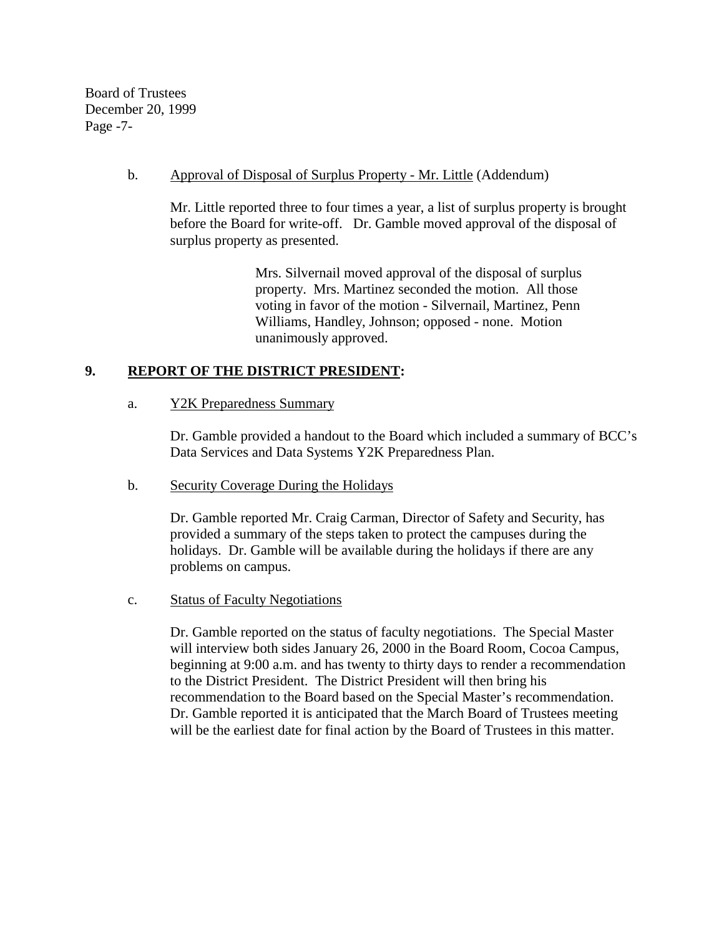Board of Trustees December 20, 1999 Page -7-

### b. Approval of Disposal of Surplus Property - Mr. Little (Addendum)

Mr. Little reported three to four times a year, a list of surplus property is brought before the Board for write-off. Dr. Gamble moved approval of the disposal of surplus property as presented.

> Mrs. Silvernail moved approval of the disposal of surplus property. Mrs. Martinez seconded the motion. All those voting in favor of the motion - Silvernail, Martinez, Penn Williams, Handley, Johnson; opposed - none. Motion unanimously approved.

### **9. REPORT OF THE DISTRICT PRESIDENT:**

### a. Y2K Preparedness Summary

Dr. Gamble provided a handout to the Board which included a summary of BCC's Data Services and Data Systems Y2K Preparedness Plan.

### b. Security Coverage During the Holidays

Dr. Gamble reported Mr. Craig Carman, Director of Safety and Security, has provided a summary of the steps taken to protect the campuses during the holidays. Dr. Gamble will be available during the holidays if there are any problems on campus.

### c. Status of Faculty Negotiations

 Dr. Gamble reported on the status of faculty negotiations. The Special Master will interview both sides January 26, 2000 in the Board Room, Cocoa Campus, beginning at 9:00 a.m. and has twenty to thirty days to render a recommendation to the District President. The District President will then bring his recommendation to the Board based on the Special Master's recommendation. Dr. Gamble reported it is anticipated that the March Board of Trustees meeting will be the earliest date for final action by the Board of Trustees in this matter.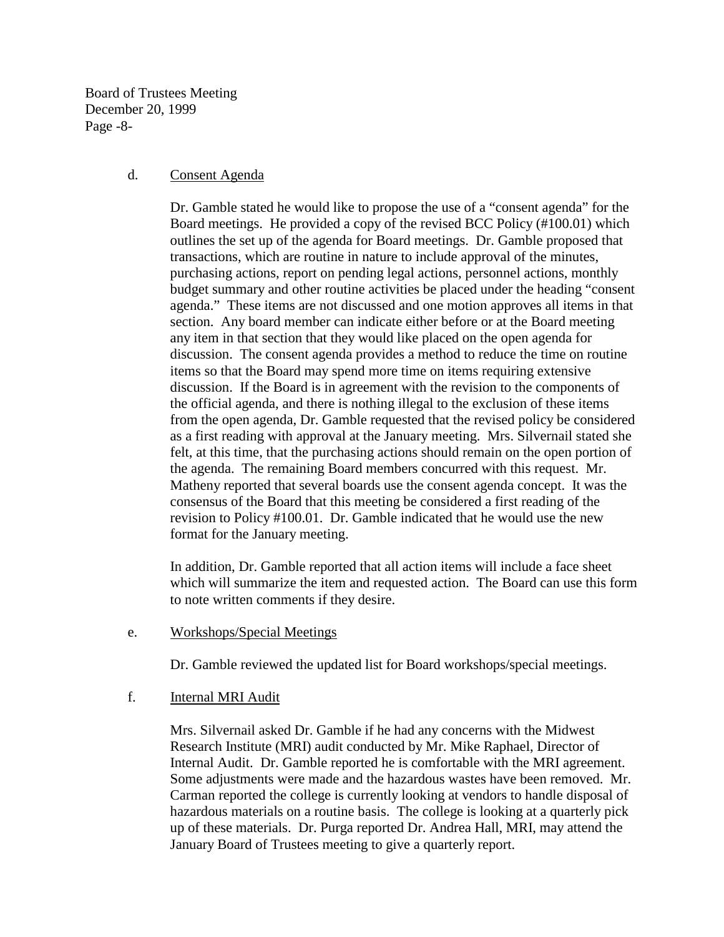Board of Trustees Meeting December 20, 1999 Page -8-

#### d. Consent Agenda

Dr. Gamble stated he would like to propose the use of a "consent agenda" for the Board meetings. He provided a copy of the revised BCC Policy (#100.01) which outlines the set up of the agenda for Board meetings. Dr. Gamble proposed that transactions, which are routine in nature to include approval of the minutes, purchasing actions, report on pending legal actions, personnel actions, monthly budget summary and other routine activities be placed under the heading "consent agenda." These items are not discussed and one motion approves all items in that section. Any board member can indicate either before or at the Board meeting any item in that section that they would like placed on the open agenda for discussion. The consent agenda provides a method to reduce the time on routine items so that the Board may spend more time on items requiring extensive discussion. If the Board is in agreement with the revision to the components of the official agenda, and there is nothing illegal to the exclusion of these items from the open agenda, Dr. Gamble requested that the revised policy be considered as a first reading with approval at the January meeting. Mrs. Silvernail stated she felt, at this time, that the purchasing actions should remain on the open portion of the agenda. The remaining Board members concurred with this request. Mr. Matheny reported that several boards use the consent agenda concept. It was the consensus of the Board that this meeting be considered a first reading of the revision to Policy #100.01. Dr. Gamble indicated that he would use the new format for the January meeting.

In addition, Dr. Gamble reported that all action items will include a face sheet which will summarize the item and requested action. The Board can use this form to note written comments if they desire.

e. Workshops/Special Meetings

Dr. Gamble reviewed the updated list for Board workshops/special meetings.

### f. Internal MRI Audit

 Mrs. Silvernail asked Dr. Gamble if he had any concerns with the Midwest Research Institute (MRI) audit conducted by Mr. Mike Raphael, Director of Internal Audit. Dr. Gamble reported he is comfortable with the MRI agreement. Some adjustments were made and the hazardous wastes have been removed. Mr. Carman reported the college is currently looking at vendors to handle disposal of hazardous materials on a routine basis. The college is looking at a quarterly pick up of these materials. Dr. Purga reported Dr. Andrea Hall, MRI, may attend the January Board of Trustees meeting to give a quarterly report.